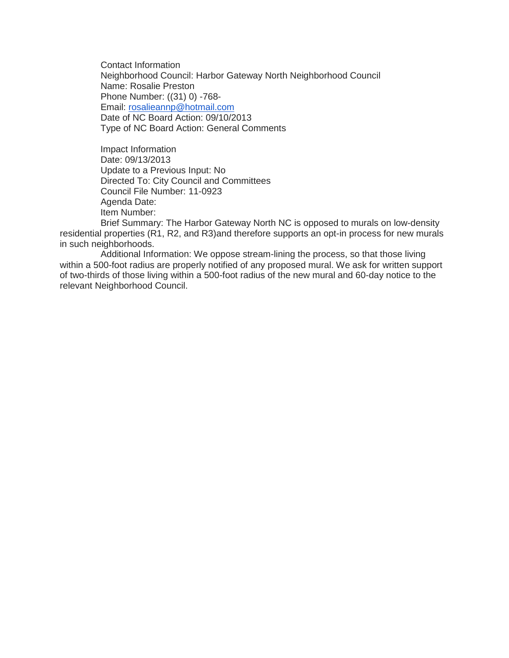Contact Information Neighborhood Council: Harbor Gateway North Neighborhood Council Name: Rosalie Preston Phone Number: ((31) 0) -768- Email: [rosalieannp@hotmail.com](mailto:rosalieannp@hotmail.com) Date of NC Board Action: 09/10/2013 Type of NC Board Action: General Comments

Impact Information Date: 09/13/2013 Update to a Previous Input: No Directed To: City Council and Committees Council File Number: 11-0923 Agenda Date: Item Number:

Brief Summary: The Harbor Gateway North NC is opposed to murals on low-density residential properties (R1, R2, and R3)and therefore supports an opt-in process for new murals in such neighborhoods.

Additional Information: We oppose stream-lining the process, so that those living within a 500-foot radius are properly notified of any proposed mural. We ask for written support of two-thirds of those living within a 500-foot radius of the new mural and 60-day notice to the relevant Neighborhood Council.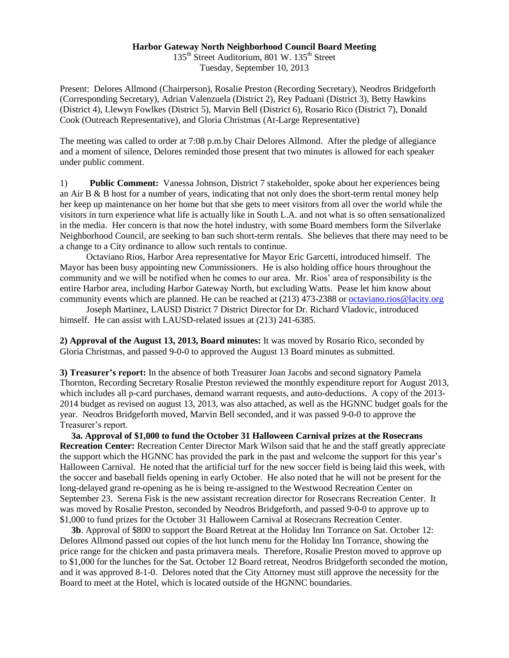## **Harbor Gateway North Neighborhood Council Board Meeting**

135<sup>th</sup> Street Auditorium, 801 W. 135<sup>th</sup> Street Tuesday, September 10, 2013

Present: Delores Allmond (Chairperson), Rosalie Preston (Recording Secretary), Neodros Bridgeforth (Corresponding Secretary), Adrian Valenzuela (District 2), Rey Paduani (District 3), Betty Hawkins (District 4), Llewyn Fowlkes (District 5), Marvin Bell (District 6), Rosario Rico (District 7), Donald Cook (Outreach Representative), and Gloria Christmas (At-Large Representative)

The meeting was called to order at 7:08 p.m.by Chair Delores Allmond. After the pledge of allegiance and a moment of silence, Delores reminded those present that two minutes is allowed for each speaker under public comment.

1) **Public Comment:** Vanessa Johnson, District 7 stakeholder, spoke about her experiences being an Air B & B host for a number of years, indicating that not only does the short-term rental money help her keep up maintenance on her home but that she gets to meet visitors from all over the world while the visitors in turn experience what life is actually like in South L.A. and not what is so often sensationalized in the media. Her concern is that now the hotel industry, with some Board members form the Silverlake Neighborhood Council, are seeking to ban such short-term rentals. She believes that there may need to be a change to a City ordinance to allow such rentals to continue.

 Octaviano Rios, Harbor Area representative for Mayor Eric Garcetti, introduced himself. The Mayor has been busy appointing new Commissioners. He is also holding office hours throughout the community and we will be notified when he comes to our area. Mr. Rios' area of responsibility is the entire Harbor area, including Harbor Gateway North, but excluding Watts. Pease let him know about community events which are planned. He can be reached at (213) 473-2388 o[r octaviano.rios@lacity.org](mailto:octaviano.rios@lacity.org)

 Joseph Martinez, LAUSD District 7 District Director for Dr. Richard Vladovic, introduced himself. He can assist with LAUSD-related issues at  $(213)$  241-6385.

**2) Approval of the August 13, 2013, Board minutes:** It was moved by Rosario Rico, seconded by Gloria Christmas, and passed 9-0-0 to approved the August 13 Board minutes as submitted.

**3) Treasurer's report:** In the absence of both Treasurer Joan Jacobs and second signatory Pamela Thornton, Recording Secretary Rosalie Preston reviewed the monthly expenditure report for August 2013, which includes all p-card purchases, demand warrant requests, and auto-deductions. A copy of the 2013- 2014 budget as revised on august 13, 2013, was also attached, as well as the HGNNC budget goals for the year. Neodros Bridgeforth moved, Marvin Bell seconded, and it was passed 9-0-0 to approve the Treasurer's report.

 **3a. Approval of \$1,000 to fund the October 31 Halloween Carnival prizes at the Rosecrans Recreation Center:** Recreation Center Director Mark Wilson said that he and the staff greatly appreciate the support which the HGNNC has provided the park in the past and welcome the support for this year's Halloween Carnival. He noted that the artificial turf for the new soccer field is being laid this week, with the soccer and baseball fields opening in early October. He also noted that he will not be present for the long-delayed grand re-opening as he is being re-assigned to the Westwood Recreation Center on September 23. Serena Fisk is the new assistant recreation director for Rosecrans Recreation Center. It was moved by Rosalie Preston, seconded by Neodros Bridgeforth, and passed 9-0-0 to approve up to \$1,000 to fund prizes for the October 31 Halloween Carnival at Rosecrans Recreation Center.

 **3b**. Approval of \$800 to support the Board Retreat at the Holiday Inn Torrance on Sat. October 12: Delores Allmond passed out copies of the hot lunch menu for the Holiday Inn Torrance, showing the price range for the chicken and pasta primavera meals. Therefore, Rosalie Preston moved to approve up to \$1,000 for the lunches for the Sat. October 12 Board retreat, Neodros Bridgeforth seconded the motion, and it was approved 8-1-0. Delores noted that the City Attorney must still approve the necessity for the Board to meet at the Hotel, which is located outside of the HGNNC boundaries.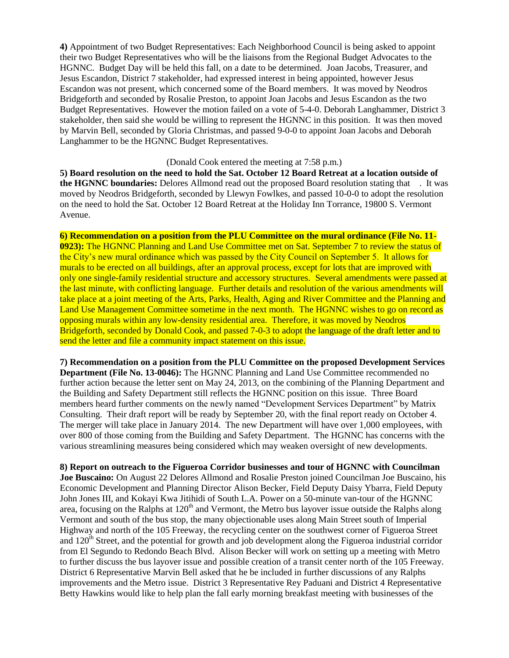**4)** Appointment of two Budget Representatives: Each Neighborhood Council is being asked to appoint their two Budget Representatives who will be the liaisons from the Regional Budget Advocates to the HGNNC. Budget Day will be held this fall, on a date to be determined. Joan Jacobs, Treasurer, and Jesus Escandon, District 7 stakeholder, had expressed interest in being appointed, however Jesus Escandon was not present, which concerned some of the Board members. It was moved by Neodros Bridgeforth and seconded by Rosalie Preston, to appoint Joan Jacobs and Jesus Escandon as the two Budget Representatives. However the motion failed on a vote of 5-4-0. Deborah Langhammer, District 3 stakeholder, then said she would be willing to represent the HGNNC in this position. It was then moved by Marvin Bell, seconded by Gloria Christmas, and passed 9-0-0 to appoint Joan Jacobs and Deborah Langhammer to be the HGNNC Budget Representatives.

## (Donald Cook entered the meeting at 7:58 p.m.)

**5) Board resolution on the need to hold the Sat. October 12 Board Retreat at a location outside of the HGNNC boundaries:** Delores Allmond read out the proposed Board resolution stating that . It was moved by Neodros Bridgeforth, seconded by Llewyn Fowlkes, and passed 10-0-0 to adopt the resolution on the need to hold the Sat. October 12 Board Retreat at the Holiday Inn Torrance, 19800 S. Vermont Avenue.

**6) Recommendation on a position from the PLU Committee on the mural ordinance (File No. 11- 0923):** The HGNNC Planning and Land Use Committee met on Sat. September 7 to review the status of the City's new mural ordinance which was passed by the City Council on September 5. It allows for murals to be erected on all buildings, after an approval process, except for lots that are improved with only one single-family residential structure and accessory structures. Several amendments were passed at the last minute, with conflicting language. Further details and resolution of the various amendments will take place at a joint meeting of the Arts, Parks, Health, Aging and River Committee and the Planning and Land Use Management Committee sometime in the next month. The HGNNC wishes to go on record as opposing murals within any low-density residential area. Therefore, it was moved by Neodros Bridgeforth, seconded by Donald Cook, and passed 7-0-3 to adopt the language of the draft letter and to send the letter and file a community impact statement on this issue.

**7) Recommendation on a position from the PLU Committee on the proposed Development Services Department (File No. 13-0046):** The HGNNC Planning and Land Use Committee recommended no further action because the letter sent on May 24, 2013, on the combining of the Planning Department and the Building and Safety Department still reflects the HGNNC position on this issue. Three Board members heard further comments on the newly named "Development Services Department" by Matrix Consulting. Their draft report will be ready by September 20, with the final report ready on October 4. The merger will take place in January 2014. The new Department will have over 1,000 employees, with over 800 of those coming from the Building and Safety Department. The HGNNC has concerns with the various streamlining measures being considered which may weaken oversight of new developments.

**8) Report on outreach to the Figueroa Corridor businesses and tour of HGNNC with Councilman Joe Buscaino:** On August 22 Delores Allmond and Rosalie Preston joined Councilman Joe Buscaino, his Economic Development and Planning Director Alison Becker, Field Deputy Daisy Ybarra, Field Deputy John Jones III, and Kokayi Kwa Jitihidi of South L.A. Power on a 50-minute van-tour of the HGNNC area, focusing on the Ralphs at  $120<sup>th</sup>$  and Vermont, the Metro bus layover issue outside the Ralphs along Vermont and south of the bus stop, the many objectionable uses along Main Street south of Imperial Highway and north of the 105 Freeway, the recycling center on the southwest corner of Figueroa Street and  $120<sup>th</sup>$  Street, and the potential for growth and job development along the Figueroa industrial corridor from El Segundo to Redondo Beach Blvd. Alison Becker will work on setting up a meeting with Metro to further discuss the bus layover issue and possible creation of a transit center north of the 105 Freeway. District 6 Representative Marvin Bell asked that he be included in further discussions of any Ralphs improvements and the Metro issue. District 3 Representative Rey Paduani and District 4 Representative Betty Hawkins would like to help plan the fall early morning breakfast meeting with businesses of the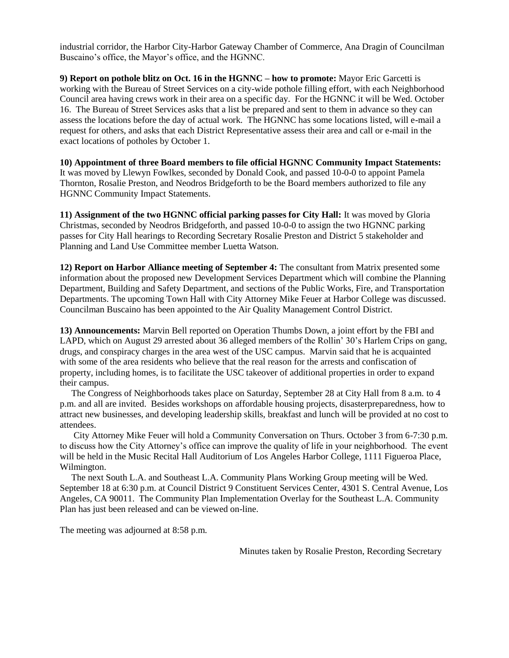industrial corridor, the Harbor City-Harbor Gateway Chamber of Commerce, Ana Dragin of Councilman Buscaino's office, the Mayor's office, and the HGNNC.

**9) Report on pothole blitz on Oct. 16 in the HGNNC – how to promote:** Mayor Eric Garcetti is working with the Bureau of Street Services on a city-wide pothole filling effort, with each Neighborhood Council area having crews work in their area on a specific day. For the HGNNC it will be Wed. October 16. The Bureau of Street Services asks that a list be prepared and sent to them in advance so they can assess the locations before the day of actual work. The HGNNC has some locations listed, will e-mail a request for others, and asks that each District Representative assess their area and call or e-mail in the exact locations of potholes by October 1.

**10) Appointment of three Board members to file official HGNNC Community Impact Statements:**  It was moved by Llewyn Fowlkes, seconded by Donald Cook, and passed 10-0-0 to appoint Pamela Thornton, Rosalie Preston, and Neodros Bridgeforth to be the Board members authorized to file any HGNNC Community Impact Statements.

**11) Assignment of the two HGNNC official parking passes for City Hall:** It was moved by Gloria Christmas, seconded by Neodros Bridgeforth, and passed 10-0-0 to assign the two HGNNC parking passes for City Hall hearings to Recording Secretary Rosalie Preston and District 5 stakeholder and Planning and Land Use Committee member Luetta Watson.

**12) Report on Harbor Alliance meeting of September 4:** The consultant from Matrix presented some information about the proposed new Development Services Department which will combine the Planning Department, Building and Safety Department, and sections of the Public Works, Fire, and Transportation Departments. The upcoming Town Hall with City Attorney Mike Feuer at Harbor College was discussed. Councilman Buscaino has been appointed to the Air Quality Management Control District.

**13) Announcements:** Marvin Bell reported on Operation Thumbs Down, a joint effort by the FBI and LAPD, which on August 29 arrested about 36 alleged members of the Rollin' 30's Harlem Crips on gang, drugs, and conspiracy charges in the area west of the USC campus. Marvin said that he is acquainted with some of the area residents who believe that the real reason for the arrests and confiscation of property, including homes, is to facilitate the USC takeover of additional properties in order to expand their campus.

 The Congress of Neighborhoods takes place on Saturday, September 28 at City Hall from 8 a.m. to 4 p.m. and all are invited. Besides workshops on affordable housing projects, disasterpreparedness, how to attract new businesses, and developing leadership skills, breakfast and lunch will be provided at no cost to attendees.

 City Attorney Mike Feuer will hold a Community Conversation on Thurs. October 3 from 6-7:30 p.m. to discuss how the City Attorney's office can improve the quality of life in your neighborhood. The event will be held in the Music Recital Hall Auditorium of Los Angeles Harbor College, 1111 Figueroa Place, Wilmington.

 The next South L.A. and Southeast L.A. Community Plans Working Group meeting will be Wed. September 18 at 6:30 p.m. at Council District 9 Constituent Services Center, 4301 S. Central Avenue, Los Angeles, CA 90011. The Community Plan Implementation Overlay for the Southeast L.A. Community Plan has just been released and can be viewed on-line.

The meeting was adjourned at 8:58 p.m.

Minutes taken by Rosalie Preston, Recording Secretary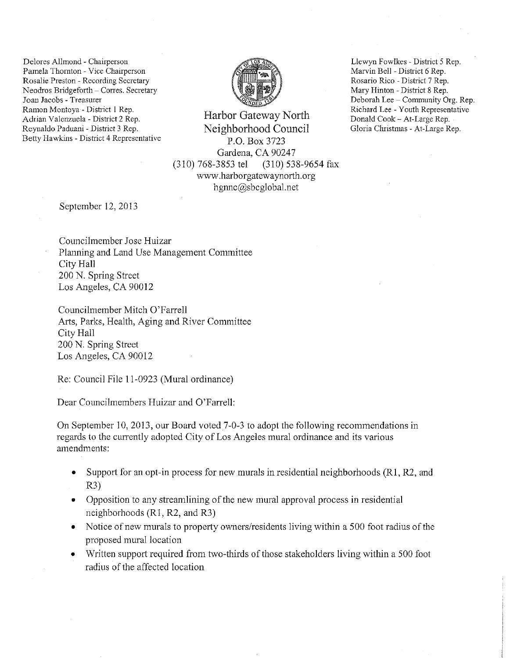Delores Allmond - Chairperson Pamela Thornton- Vice Chairperson **Rosalie Preston - Recording Secretary**  Neodros Bridgeforth - Corres. Secretary **Joan Jacobs- Treasurer**  Ramon Montoya - District 1 Rep. Adrian Valenzuela - District 2 Rep. Reynaldo Paduani - District 3 Rep. Betty Hawkins- District 4 Representative



Harbor Gateway North Neighborhood Council P.O. Box 3723 Gardena, CA 90247 (310) 768-3853 tel (310) 538-9654 fax www.harborgatewaynorth.org hgnnc@sbcglobal.net

September 12, 2013

Councilmember Jose Huizar Planning and Land Use Management Committee City Hall 200 N. Spring Street Los Angeles, CA 90012

Councilmember Mitch O'Farrell Arts, Parks, Health, Aging and River Committee City Hall 200 N. Spring Street Los Angeles, CA 90012

Re: Council File 11-0923 (Mural ordinance)

Dear Councilmembers Huizar and O'Farrell:

On September 10, 2013, our Board voted 7-0-3 to adopt the following recommendations in regards to the currently adopted City of Los Angeles mural ordinance and its various amendments:

- Support for an opt-in process for new murals in residential neighborhoods (R1, R2, and R3)
- **<sup>o</sup>**Opposition to any streamlining of the new mural approval process in residential neighborhoods (R1, R2, and R3)
- **o** Notice of new murals to property owners/residents living within a 500 foot radius of the proposed mural location
- Written support required from two-thirds of those stakeholders living within a 500 foot radius of the affected location

Llewyn Fowlkes- District 5 Rep. Marvin Bell - District 6 Rep. Rosario Rico - District 7 Rep. Mary Hinton -District 8 Rep. Deborah Lee -Community Org. Rep. Richard Lee - Youth Representative Donald Cook- At-Large Rep. Gloria Christmas- At-Large Rep.